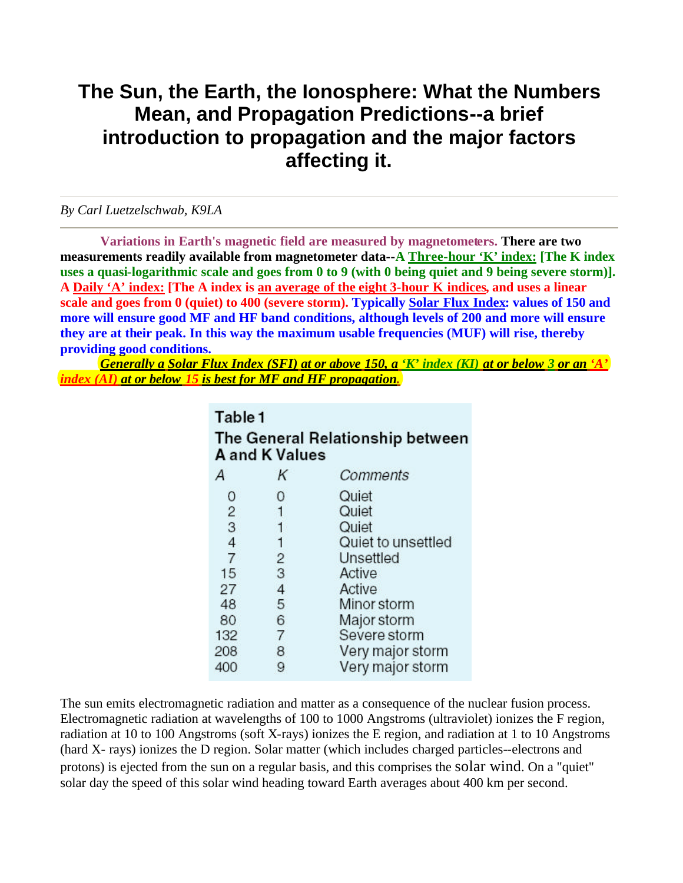## **The Sun, the Earth, the Ionosphere: What the Numbers Mean, and Propagation Predictions--a brief introduction to propagation and the major factors affecting it.**

## *By Carl Luetzelschwab, K9LA*

**Variations in Earth's magnetic field are measured by magnetometers. There are two measurements readily available from magnetometer data--A Three-hour 'K' index: [The K index uses a quasi-logarithmic scale and goes from 0 to 9 (with 0 being quiet and 9 being severe storm)]. A Daily 'A' index: [The A index is an average of the eight 3-hour K indices, and uses a linear scale and goes from 0 (quiet) to 400 (severe storm). Typically Solar Flux Index: values of 150 and more will ensure good MF and HF band conditions, although levels of 200 and more will ensure they are at their peak. In this way the maximum usable frequencies (MUF) will rise, thereby providing good conditions.**

*Generally a Solar Flux Index (SFI) at or above 150, a 'K' index (KI) at or below 3 or an 'A' index (AI) at or below 15 is best for MF and HF propagation.*

> Table 1 The General Relationship between **A and K Values** A Κ Comments 0 0 Quiet  $\overline{2}$  $\mathbf{1}$ Quiet 3  $\mathbf{1}$ Quiet  $\overline{4}$ Quiet to unsettled 1  $\overline{7}$  $\overline{c}$ Unsettled 15 3 Active 27  $\overline{4}$ Active 48 5 Minor storm 6 Major storm 80 132  $\overline{7}$ Severe storm 208 8 Very major storm 9 Very major storm 400

The sun emits electromagnetic radiation and matter as a consequence of the nuclear fusion process. Electromagnetic radiation at wavelengths of 100 to 1000 Angstroms (ultraviolet) ionizes the F region, radiation at 10 to 100 Angstroms (soft X-rays) ionizes the E region, and radiation at 1 to 10 Angstroms (hard X- rays) ionizes the D region. Solar matter (which includes charged particles--electrons and protons) is ejected from the sun on a regular basis, and this comprises the solar wind. On a "quiet" solar day the speed of this solar wind heading toward Earth averages about 400 km per second.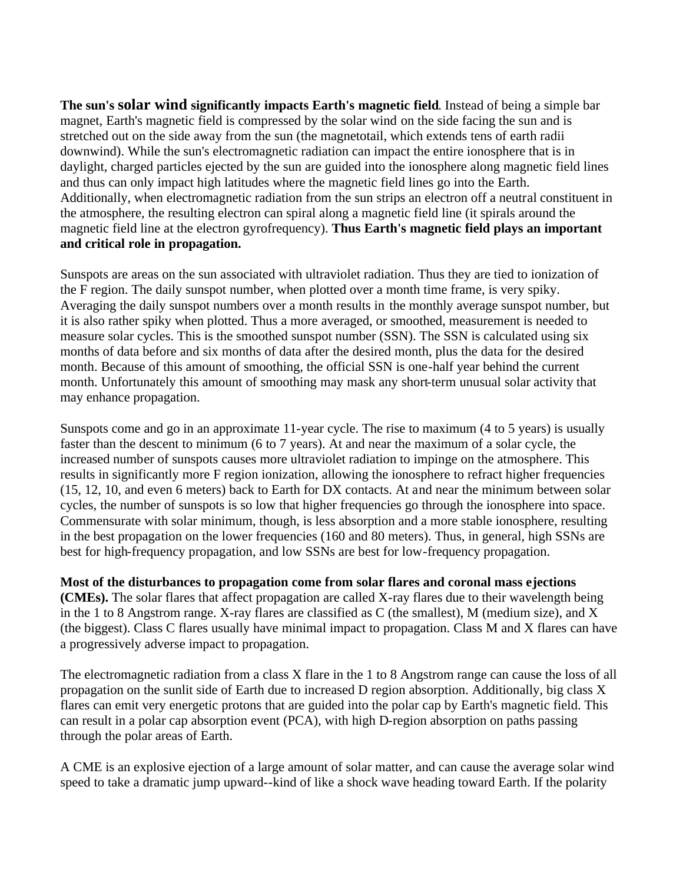**The sun's solar wind significantly impacts Earth's magnetic field**. Instead of being a simple bar magnet, Earth's magnetic field is compressed by the solar wind on the side facing the sun and is stretched out on the side away from the sun (the magnetotail, which extends tens of earth radii downwind). While the sun's electromagnetic radiation can impact the entire ionosphere that is in daylight, charged particles ejected by the sun are guided into the ionosphere along magnetic field lines and thus can only impact high latitudes where the magnetic field lines go into the Earth. Additionally, when electromagnetic radiation from the sun strips an electron off a neutral constituent in the atmosphere, the resulting electron can spiral along a magnetic field line (it spirals around the magnetic field line at the electron gyrofrequency). **Thus Earth's magnetic field plays an important and critical role in propagation.** 

Sunspots are areas on the sun associated with ultraviolet radiation. Thus they are tied to ionization of the F region. The daily sunspot number, when plotted over a month time frame, is very spiky. Averaging the daily sunspot numbers over a month results in the monthly average sunspot number, but it is also rather spiky when plotted. Thus a more averaged, or smoothed, measurement is needed to measure solar cycles. This is the smoothed sunspot number (SSN). The SSN is calculated using six months of data before and six months of data after the desired month, plus the data for the desired month. Because of this amount of smoothing, the official SSN is one-half year behind the current month. Unfortunately this amount of smoothing may mask any short-term unusual solar activity that may enhance propagation.

Sunspots come and go in an approximate 11-year cycle. The rise to maximum (4 to 5 years) is usually faster than the descent to minimum (6 to 7 years). At and near the maximum of a solar cycle, the increased number of sunspots causes more ultraviolet radiation to impinge on the atmosphere. This results in significantly more F region ionization, allowing the ionosphere to refract higher frequencies (15, 12, 10, and even 6 meters) back to Earth for DX contacts. At and near the minimum between solar cycles, the number of sunspots is so low that higher frequencies go through the ionosphere into space. Commensurate with solar minimum, though, is less absorption and a more stable ionosphere, resulting in the best propagation on the lower frequencies (160 and 80 meters). Thus, in general, high SSNs are best for high-frequency propagation, and low SSNs are best for low-frequency propagation.

**Most of the disturbances to propagation come from solar flares and coronal mass ejections (CMEs).** The solar flares that affect propagation are called X-ray flares due to their wavelength being in the 1 to 8 Angstrom range. X-ray flares are classified as C (the smallest), M (medium size), and X (the biggest). Class C flares usually have minimal impact to propagation. Class M and X flares can have a progressively adverse impact to propagation.

The electromagnetic radiation from a class X flare in the 1 to 8 Angstrom range can cause the loss of all propagation on the sunlit side of Earth due to increased D region absorption. Additionally, big class X flares can emit very energetic protons that are guided into the polar cap by Earth's magnetic field. This can result in a polar cap absorption event (PCA), with high D-region absorption on paths passing through the polar areas of Earth.

A CME is an explosive ejection of a large amount of solar matter, and can cause the average solar wind speed to take a dramatic jump upward--kind of like a shock wave heading toward Earth. If the polarity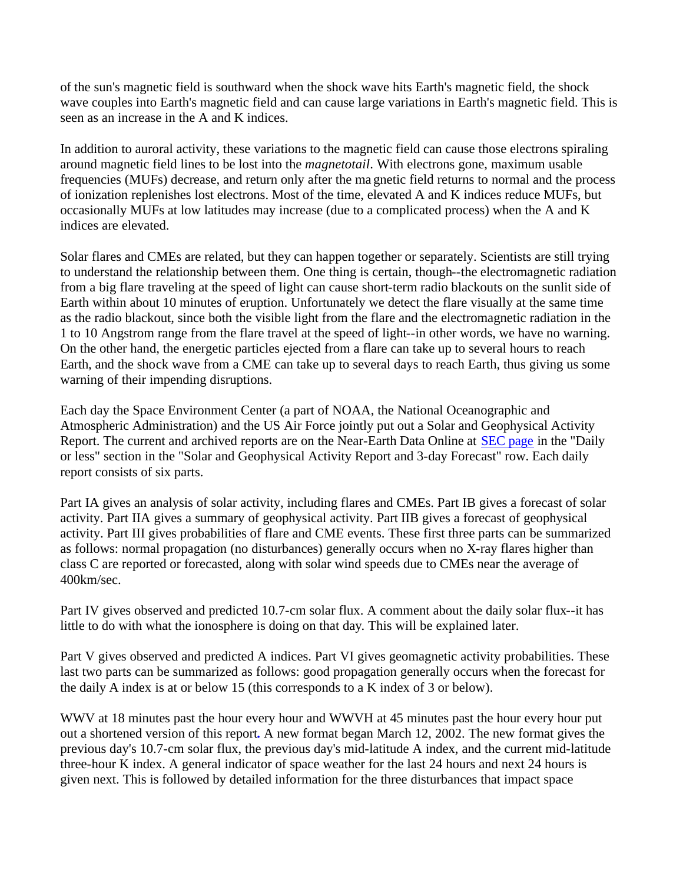of the sun's magnetic field is southward when the shock wave hits Earth's magnetic field, the shock wave couples into Earth's magnetic field and can cause large variations in Earth's magnetic field. This is seen as an increase in the A and K indices.

In addition to auroral activity, these variations to the magnetic field can cause those electrons spiraling around magnetic field lines to be lost into the *magnetotail*. With electrons gone, maximum usable frequencies (MUFs) decrease, and return only after the ma gnetic field returns to normal and the process of ionization replenishes lost electrons. Most of the time, elevated A and K indices reduce MUFs, but occasionally MUFs at low latitudes may increase (due to a complicated process) when the A and K indices are elevated.

Solar flares and CMEs are related, but they can happen together or separately. Scientists are still trying to understand the relationship between them. One thing is certain, though--the electromagnetic radiation from a big flare traveling at the speed of light can cause short-term radio blackouts on the sunlit side of Earth within about 10 minutes of eruption. Unfortunately we detect the flare visually at the same time as the radio blackout, since both the visible light from the flare and the electromagnetic radiation in the 1 to 10 Angstrom range from the flare travel at the speed of light--in other words, we have no warning. On the other hand, the energetic particles ejected from a flare can take up to several hours to reach Earth, and the shock wave from a CME can take up to several days to reach Earth, thus giving us some warning of their impending disruptions.

Each day the Space Environment Center (a part of NOAA, the National Oceanographic and Atmospheric Administration) and the US Air Force jointly put out a Solar and Geophysical Activity Report. The current and archived reports are on the Near-Earth Data Online at SEC page in the "Daily or less" section in the "Solar and Geophysical Activity Report and 3-day Forecast" row. Each daily report consists of six parts.

Part IA gives an analysis of solar activity, including flares and CMEs. Part IB gives a forecast of solar activity. Part IIA gives a summary of geophysical activity. Part IIB gives a forecast of geophysical activity. Part III gives probabilities of flare and CME events. These first three parts can be summarized as follows: normal propagation (no disturbances) generally occurs when no X-ray flares higher than class C are reported or forecasted, along with solar wind speeds due to CMEs near the average of 400km/sec.

Part IV gives observed and predicted 10.7-cm solar flux. A comment about the daily solar flux--it has little to do with what the ionosphere is doing on that day. This will be explained later.

Part V gives observed and predicted A indices. Part VI gives geomagnetic activity probabilities. These last two parts can be summarized as follows: good propagation generally occurs when the forecast for the daily A index is at or below 15 (this corresponds to a K index of 3 or below).

WWV at 18 minutes past the hour every hour and WWVH at 45 minutes past the hour every hour put out a shortened version of this report**.** A new format began March 12, 2002. The new format gives the previous day's 10.7-cm solar flux, the previous day's mid-latitude A index, and the current mid-latitude three-hour K index. A general indicator of space weather for the last 24 hours and next 24 hours is given next. This is followed by detailed information for the three disturbances that impact space